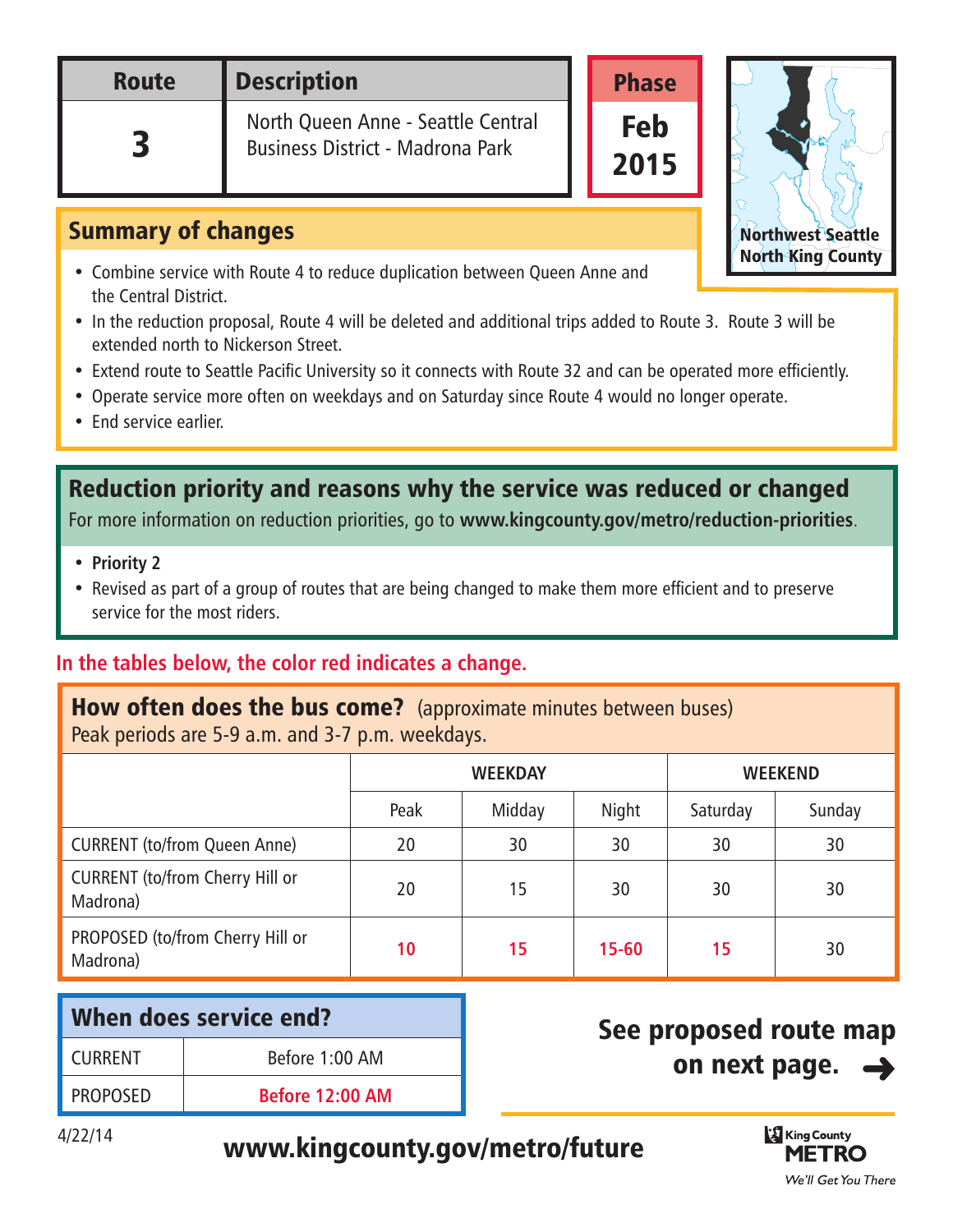| <b>Route</b> | <b>Description</b>                                                            | <b>Phase</b>       |  |
|--------------|-------------------------------------------------------------------------------|--------------------|--|
|              | North Queen Anne - Seattle Central<br><b>Business District - Madrona Park</b> | <b>Feb</b><br>2015 |  |

### Summary of changes

- Combine service with Route 4 to reduce duplication between Queen Anne and the Central District.
- In the reduction proposal, Route 4 will be deleted and additional trips added to Route 3. Route 3 will be extended north to Nickerson Street. Northwest Seattle
- Extend route to Seattle Pacific University so it connects with Route 32 and can be operated more efficiently.
- Operate service more often on weekdays and on Saturday since Route 4 would no longer operate.
- End service earlier.

## Reduction priority and reasons why the service was reduced or changed

For more information on reduction priorities, go to **[www.kingcounty.gov/metro/reduction-priorities](http://www.kingcounty.gov/metro/am/future/reduction-priorities)**.

- **Priority 2**
- Revised as part of a group of routes that are being changed to make them more efficient and to preserve service for the most riders.

### **In the tables below, the color red indicates a change.**

#### **How often does the bus come?** (approximate minutes between buses) Peak periods are 5-9 a.m. and 3-7 p.m. weekdays.

|                                                    | <b>WEEKDAY</b> |        | <b>WEEKEND</b> |          |        |
|----------------------------------------------------|----------------|--------|----------------|----------|--------|
|                                                    | Peak           | Midday | Night          | Saturday | Sunday |
| <b>CURRENT (to/from Queen Anne)</b>                | 20             | 30     | 30             | 30       | 30     |
| <b>CURRENT</b> (to/from Cherry Hill or<br>Madrona) | 20             | 15     | 30             | 30       | 30     |
| PROPOSED (to/from Cherry Hill or<br>Madrona)       | 10             | 15     | $15 - 60$      | 15       | 30     |

| When does service end? |                        |  |
|------------------------|------------------------|--|
| <b>CURRENT</b>         | Before 1:00 AM         |  |
| <b>PROPOSED</b>        | <b>Before 12:00 AM</b> |  |

# See proposed route map on next page.

# 4/22/14 [www.kingcounty.gov/metro/future](http://metro.kingcounty.gov/am/future/)



Northwest Seattle North King County